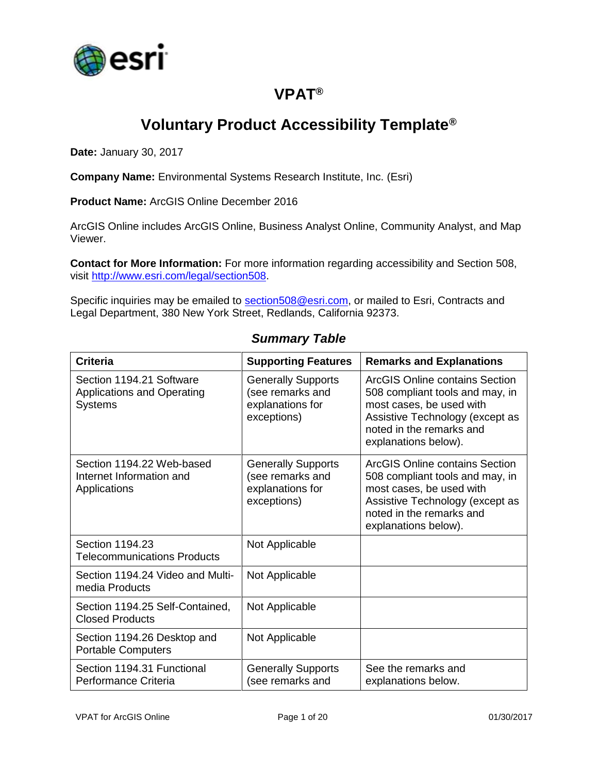

## **VPAT®**

## **Voluntary Product Accessibility Template®**

**Date:** January 30, 2017

**Company Name:** Environmental Systems Research Institute, Inc. (Esri)

**Product Name:** ArcGIS Online December 2016

ArcGIS Online includes ArcGIS Online, Business Analyst Online, Community Analyst, and Map Viewer.

**Contact for More Information:** For more information regarding accessibility and Section 508, visit [http://www.esri.com/legal/section508.](http://www.esri.com/legal/section508)

Specific inquiries may be emailed to [section508@esri.com,](mailto:section508@esri.com) or mailed to Esri, Contracts and Legal Department, 380 New York Street, Redlands, California 92373.

| <b>Criteria</b>                                                                 | <b>Supporting Features</b>                                                       | <b>Remarks and Explanations</b>                                                                                                                                                      |
|---------------------------------------------------------------------------------|----------------------------------------------------------------------------------|--------------------------------------------------------------------------------------------------------------------------------------------------------------------------------------|
| Section 1194.21 Software<br><b>Applications and Operating</b><br><b>Systems</b> | <b>Generally Supports</b><br>(see remarks and<br>explanations for<br>exceptions) | ArcGIS Online contains Section<br>508 compliant tools and may, in<br>most cases, be used with<br>Assistive Technology (except as<br>noted in the remarks and<br>explanations below). |
| Section 1194.22 Web-based<br>Internet Information and<br>Applications           | <b>Generally Supports</b><br>(see remarks and<br>explanations for<br>exceptions) | ArcGIS Online contains Section<br>508 compliant tools and may, in<br>most cases, be used with<br>Assistive Technology (except as<br>noted in the remarks and<br>explanations below). |
| Section 1194.23<br><b>Telecommunications Products</b>                           | Not Applicable                                                                   |                                                                                                                                                                                      |
| Section 1194.24 Video and Multi-<br>media Products                              | Not Applicable                                                                   |                                                                                                                                                                                      |
| Section 1194.25 Self-Contained,<br><b>Closed Products</b>                       | Not Applicable                                                                   |                                                                                                                                                                                      |
| Section 1194.26 Desktop and<br><b>Portable Computers</b>                        | Not Applicable                                                                   |                                                                                                                                                                                      |
| Section 1194.31 Functional<br>Performance Criteria                              | <b>Generally Supports</b><br>(see remarks and                                    | See the remarks and<br>explanations below.                                                                                                                                           |

#### *Summary Table*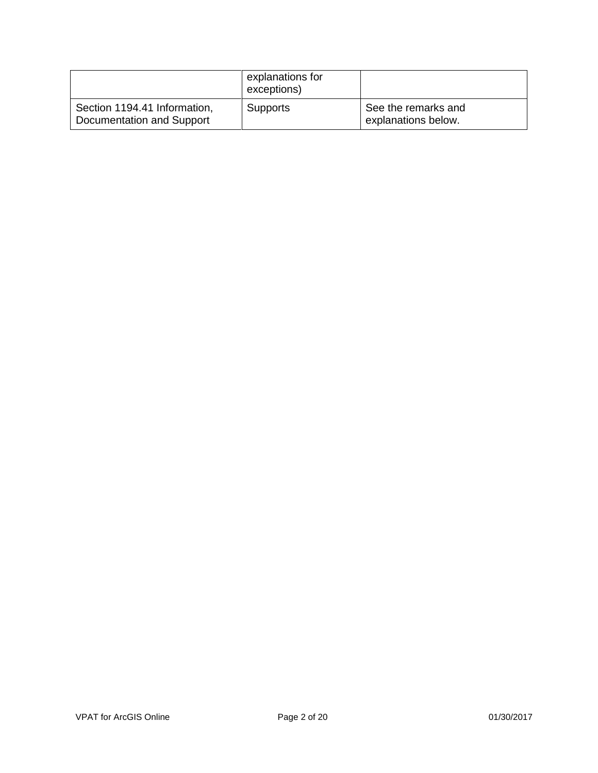|                                                           | explanations for<br>exceptions) |                                            |
|-----------------------------------------------------------|---------------------------------|--------------------------------------------|
| Section 1194.41 Information,<br>Documentation and Support | <b>Supports</b>                 | See the remarks and<br>explanations below. |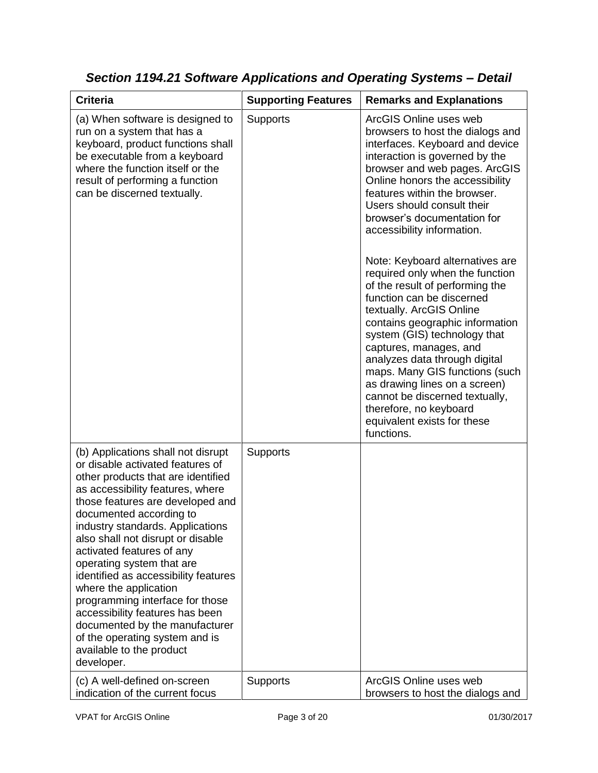| <b>Criteria</b>                                                                                                                                                                                                                                                                                                                                                                                                                                                                                                                                                                                         | <b>Supporting Features</b> | <b>Remarks and Explanations</b>                                                                                                                                                                                                                                                                                                                                                                                                                                                                                                                                                                                                                                                                                                                                                              |
|---------------------------------------------------------------------------------------------------------------------------------------------------------------------------------------------------------------------------------------------------------------------------------------------------------------------------------------------------------------------------------------------------------------------------------------------------------------------------------------------------------------------------------------------------------------------------------------------------------|----------------------------|----------------------------------------------------------------------------------------------------------------------------------------------------------------------------------------------------------------------------------------------------------------------------------------------------------------------------------------------------------------------------------------------------------------------------------------------------------------------------------------------------------------------------------------------------------------------------------------------------------------------------------------------------------------------------------------------------------------------------------------------------------------------------------------------|
| (a) When software is designed to<br>run on a system that has a<br>keyboard, product functions shall<br>be executable from a keyboard<br>where the function itself or the<br>result of performing a function<br>can be discerned textually.                                                                                                                                                                                                                                                                                                                                                              | <b>Supports</b>            | ArcGIS Online uses web<br>browsers to host the dialogs and<br>interfaces. Keyboard and device<br>interaction is governed by the<br>browser and web pages. ArcGIS<br>Online honors the accessibility<br>features within the browser.<br>Users should consult their<br>browser's documentation for<br>accessibility information.<br>Note: Keyboard alternatives are<br>required only when the function<br>of the result of performing the<br>function can be discerned<br>textually. ArcGIS Online<br>contains geographic information<br>system (GIS) technology that<br>captures, manages, and<br>analyzes data through digital<br>maps. Many GIS functions (such<br>as drawing lines on a screen)<br>cannot be discerned textually,<br>therefore, no keyboard<br>equivalent exists for these |
| (b) Applications shall not disrupt<br>or disable activated features of<br>other products that are identified<br>as accessibility features, where<br>those features are developed and<br>documented according to<br>industry standards. Applications<br>also shall not disrupt or disable<br>activated features of any<br>operating system that are<br>identified as accessibility features<br>where the application<br>programming interface for those<br>accessibility features has been<br>documented by the manufacturer<br>of the operating system and is<br>available to the product<br>developer. | <b>Supports</b>            | functions.                                                                                                                                                                                                                                                                                                                                                                                                                                                                                                                                                                                                                                                                                                                                                                                   |
| (c) A well-defined on-screen<br>indication of the current focus                                                                                                                                                                                                                                                                                                                                                                                                                                                                                                                                         | Supports                   | ArcGIS Online uses web<br>browsers to host the dialogs and                                                                                                                                                                                                                                                                                                                                                                                                                                                                                                                                                                                                                                                                                                                                   |

*Section 1194.21 Software Applications and Operating Systems – Detail*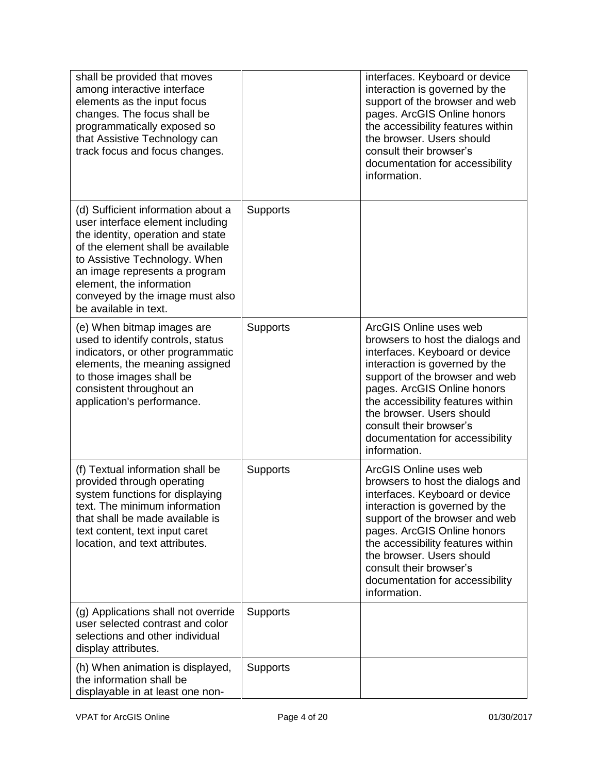| shall be provided that moves<br>among interactive interface<br>elements as the input focus<br>changes. The focus shall be<br>programmatically exposed so<br>that Assistive Technology can<br>track focus and focus changes.                                                                                |                 | interfaces. Keyboard or device<br>interaction is governed by the<br>support of the browser and web<br>pages. ArcGIS Online honors<br>the accessibility features within<br>the browser. Users should<br>consult their browser's<br>documentation for accessibility<br>information.                                                               |
|------------------------------------------------------------------------------------------------------------------------------------------------------------------------------------------------------------------------------------------------------------------------------------------------------------|-----------------|-------------------------------------------------------------------------------------------------------------------------------------------------------------------------------------------------------------------------------------------------------------------------------------------------------------------------------------------------|
| (d) Sufficient information about a<br>user interface element including<br>the identity, operation and state<br>of the element shall be available<br>to Assistive Technology. When<br>an image represents a program<br>element, the information<br>conveyed by the image must also<br>be available in text. | <b>Supports</b> |                                                                                                                                                                                                                                                                                                                                                 |
| (e) When bitmap images are<br>used to identify controls, status<br>indicators, or other programmatic<br>elements, the meaning assigned<br>to those images shall be<br>consistent throughout an<br>application's performance.                                                                               | <b>Supports</b> | ArcGIS Online uses web<br>browsers to host the dialogs and<br>interfaces. Keyboard or device<br>interaction is governed by the<br>support of the browser and web<br>pages. ArcGIS Online honors<br>the accessibility features within<br>the browser. Users should<br>consult their browser's<br>documentation for accessibility<br>information. |
| (f) Textual information shall be<br>provided through operating<br>system functions for displaying<br>text. The minimum information<br>that shall be made available is<br>text content, text input caret<br>location, and text attributes.                                                                  | <b>Supports</b> | ArcGIS Online uses web<br>browsers to host the dialogs and<br>interfaces. Keyboard or device<br>interaction is governed by the<br>support of the browser and web<br>pages. ArcGIS Online honors<br>the accessibility features within<br>the browser. Users should<br>consult their browser's<br>documentation for accessibility<br>information. |
| (g) Applications shall not override<br>user selected contrast and color<br>selections and other individual<br>display attributes.                                                                                                                                                                          | <b>Supports</b> |                                                                                                                                                                                                                                                                                                                                                 |
| (h) When animation is displayed,<br>the information shall be<br>displayable in at least one non-                                                                                                                                                                                                           | <b>Supports</b> |                                                                                                                                                                                                                                                                                                                                                 |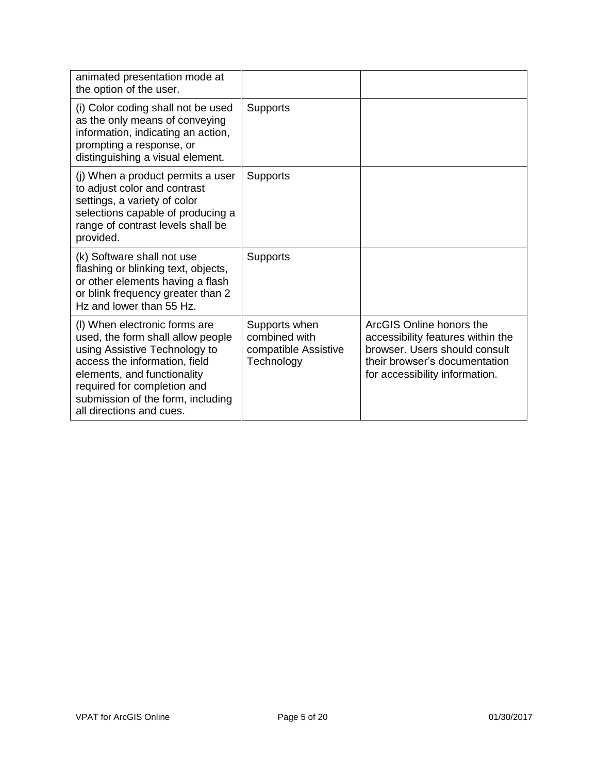| animated presentation mode at<br>the option of the user.                                                                                                                                                                                                            |                                                                      |                                                                                                                                                                   |
|---------------------------------------------------------------------------------------------------------------------------------------------------------------------------------------------------------------------------------------------------------------------|----------------------------------------------------------------------|-------------------------------------------------------------------------------------------------------------------------------------------------------------------|
| (i) Color coding shall not be used<br>as the only means of conveying<br>information, indicating an action,<br>prompting a response, or<br>distinguishing a visual element.                                                                                          | <b>Supports</b>                                                      |                                                                                                                                                                   |
| (j) When a product permits a user<br>to adjust color and contrast<br>settings, a variety of color<br>selections capable of producing a<br>range of contrast levels shall be<br>provided.                                                                            | <b>Supports</b>                                                      |                                                                                                                                                                   |
| (k) Software shall not use<br>flashing or blinking text, objects,<br>or other elements having a flash<br>or blink frequency greater than 2<br>Hz and lower than 55 Hz.                                                                                              | <b>Supports</b>                                                      |                                                                                                                                                                   |
| (I) When electronic forms are<br>used, the form shall allow people<br>using Assistive Technology to<br>access the information, field<br>elements, and functionality<br>required for completion and<br>submission of the form, including<br>all directions and cues. | Supports when<br>combined with<br>compatible Assistive<br>Technology | ArcGIS Online honors the<br>accessibility features within the<br>browser. Users should consult<br>their browser's documentation<br>for accessibility information. |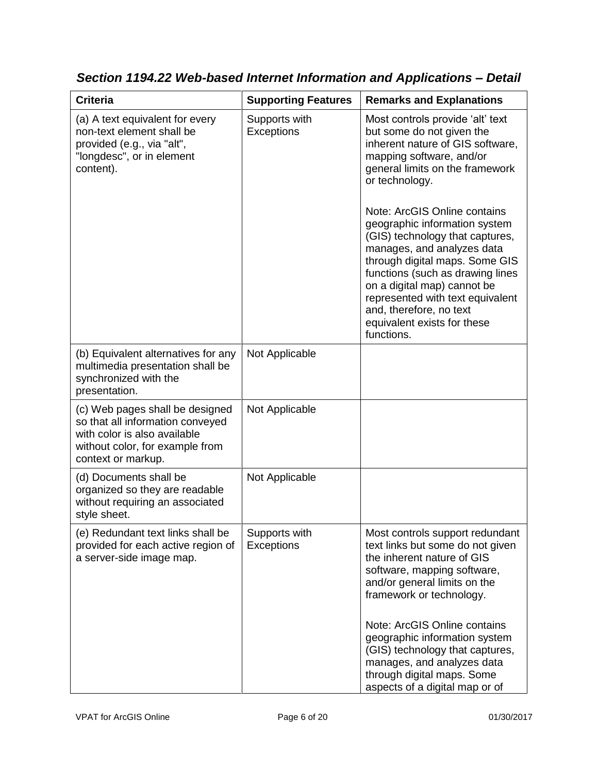| <b>Criteria</b>                                                                                                                                              | <b>Supporting Features</b>         | <b>Remarks and Explanations</b>                                                                                                                                                                                                                                                                                                                                                                                                                                                                                                       |
|--------------------------------------------------------------------------------------------------------------------------------------------------------------|------------------------------------|---------------------------------------------------------------------------------------------------------------------------------------------------------------------------------------------------------------------------------------------------------------------------------------------------------------------------------------------------------------------------------------------------------------------------------------------------------------------------------------------------------------------------------------|
| (a) A text equivalent for every<br>non-text element shall be<br>provided (e.g., via "alt",<br>"longdesc", or in element<br>content).                         | Supports with<br><b>Exceptions</b> | Most controls provide 'alt' text<br>but some do not given the<br>inherent nature of GIS software,<br>mapping software, and/or<br>general limits on the framework<br>or technology.<br>Note: ArcGIS Online contains<br>geographic information system<br>(GIS) technology that captures,<br>manages, and analyzes data<br>through digital maps. Some GIS<br>functions (such as drawing lines<br>on a digital map) cannot be<br>represented with text equivalent<br>and, therefore, no text<br>equivalent exists for these<br>functions. |
| (b) Equivalent alternatives for any<br>multimedia presentation shall be<br>synchronized with the<br>presentation.                                            | Not Applicable                     |                                                                                                                                                                                                                                                                                                                                                                                                                                                                                                                                       |
| (c) Web pages shall be designed<br>so that all information conveyed<br>with color is also available<br>without color, for example from<br>context or markup. | Not Applicable                     |                                                                                                                                                                                                                                                                                                                                                                                                                                                                                                                                       |
| (d) Documents shall be<br>organized so they are readable<br>without requiring an associated<br>style sheet.                                                  | Not Applicable                     |                                                                                                                                                                                                                                                                                                                                                                                                                                                                                                                                       |
| (e) Redundant text links shall be<br>provided for each active region of<br>a server-side image map.                                                          | Supports with<br>Exceptions        | Most controls support redundant<br>text links but some do not given<br>the inherent nature of GIS<br>software, mapping software,<br>and/or general limits on the<br>framework or technology.                                                                                                                                                                                                                                                                                                                                          |
|                                                                                                                                                              |                                    | Note: ArcGIS Online contains<br>geographic information system<br>(GIS) technology that captures,<br>manages, and analyzes data<br>through digital maps. Some<br>aspects of a digital map or of                                                                                                                                                                                                                                                                                                                                        |

*Section 1194.22 Web-based Internet Information and Applications – Detail*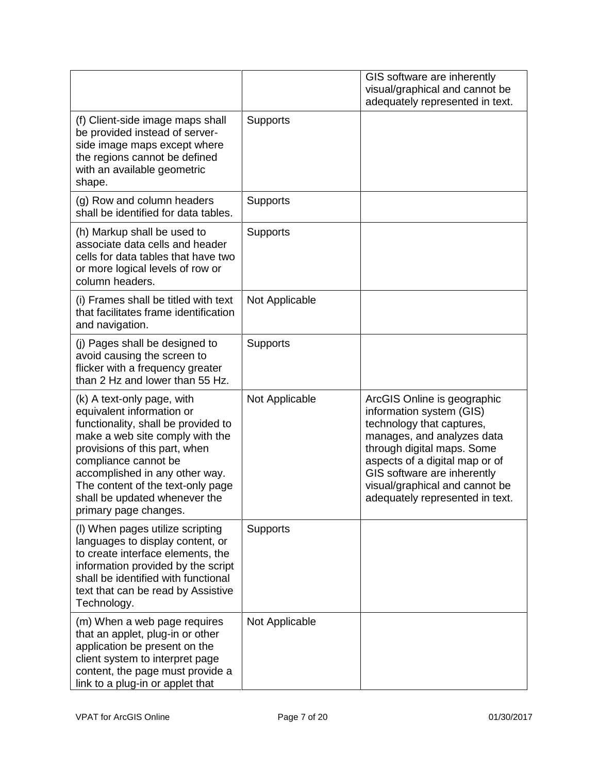|                                                                                                                                                                                                                                                                                                                             |                 | GIS software are inherently<br>visual/graphical and cannot be<br>adequately represented in text.                                                                                                                                                                                       |
|-----------------------------------------------------------------------------------------------------------------------------------------------------------------------------------------------------------------------------------------------------------------------------------------------------------------------------|-----------------|----------------------------------------------------------------------------------------------------------------------------------------------------------------------------------------------------------------------------------------------------------------------------------------|
| (f) Client-side image maps shall<br>be provided instead of server-<br>side image maps except where<br>the regions cannot be defined<br>with an available geometric<br>shape.                                                                                                                                                | Supports        |                                                                                                                                                                                                                                                                                        |
| (g) Row and column headers<br>shall be identified for data tables.                                                                                                                                                                                                                                                          | Supports        |                                                                                                                                                                                                                                                                                        |
| (h) Markup shall be used to<br>associate data cells and header<br>cells for data tables that have two<br>or more logical levels of row or<br>column headers.                                                                                                                                                                | <b>Supports</b> |                                                                                                                                                                                                                                                                                        |
| (i) Frames shall be titled with text<br>that facilitates frame identification<br>and navigation.                                                                                                                                                                                                                            | Not Applicable  |                                                                                                                                                                                                                                                                                        |
| (j) Pages shall be designed to<br>avoid causing the screen to<br>flicker with a frequency greater<br>than 2 Hz and lower than 55 Hz.                                                                                                                                                                                        | <b>Supports</b> |                                                                                                                                                                                                                                                                                        |
| (k) A text-only page, with<br>equivalent information or<br>functionality, shall be provided to<br>make a web site comply with the<br>provisions of this part, when<br>compliance cannot be<br>accomplished in any other way.<br>The content of the text-only page<br>shall be updated whenever the<br>primary page changes. | Not Applicable  | ArcGIS Online is geographic<br>information system (GIS)<br>technology that captures,<br>manages, and analyzes data<br>through digital maps. Some<br>aspects of a digital map or of<br>GIS software are inherently<br>visual/graphical and cannot be<br>adequately represented in text. |
| (I) When pages utilize scripting<br>languages to display content, or<br>to create interface elements, the<br>information provided by the script<br>shall be identified with functional<br>text that can be read by Assistive<br>Technology.                                                                                 | <b>Supports</b> |                                                                                                                                                                                                                                                                                        |
| (m) When a web page requires<br>that an applet, plug-in or other<br>application be present on the<br>client system to interpret page<br>content, the page must provide a<br>link to a plug-in or applet that                                                                                                                | Not Applicable  |                                                                                                                                                                                                                                                                                        |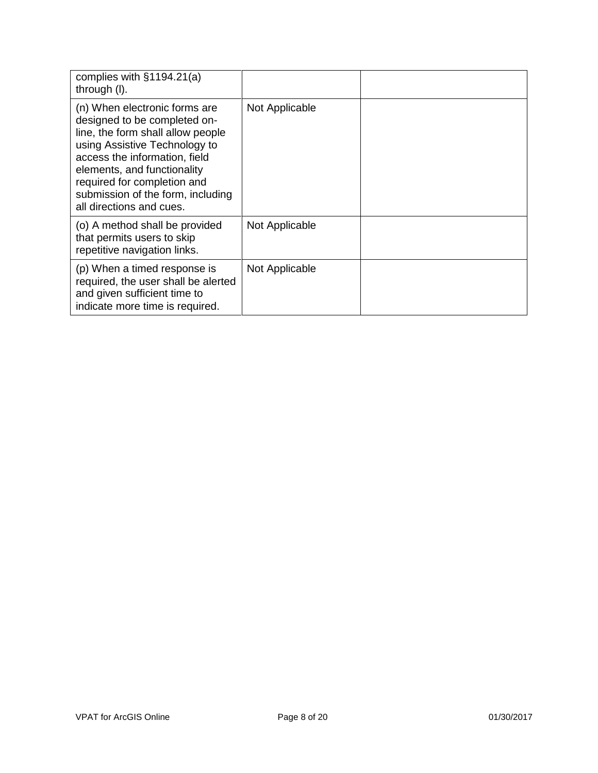| complies with §1194.21(a)<br>through (I).                                                                                                                                                                                                                                                           |                |  |
|-----------------------------------------------------------------------------------------------------------------------------------------------------------------------------------------------------------------------------------------------------------------------------------------------------|----------------|--|
| (n) When electronic forms are<br>designed to be completed on-<br>line, the form shall allow people<br>using Assistive Technology to<br>access the information, field<br>elements, and functionality<br>required for completion and<br>submission of the form, including<br>all directions and cues. | Not Applicable |  |
| (o) A method shall be provided<br>that permits users to skip<br>repetitive navigation links.                                                                                                                                                                                                        | Not Applicable |  |
| (p) When a timed response is<br>required, the user shall be alerted<br>and given sufficient time to<br>indicate more time is required.                                                                                                                                                              | Not Applicable |  |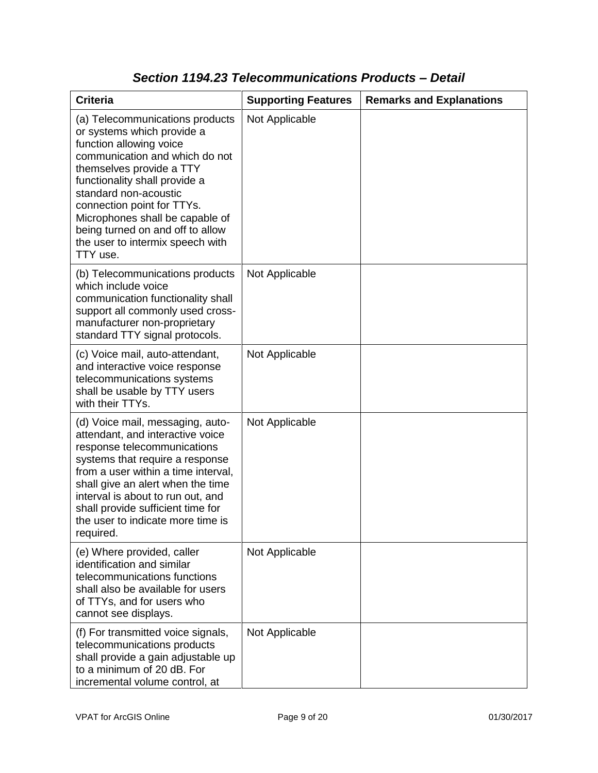| <b>Criteria</b>                                                                                                                                                                                                                                                                                                                                                       | <b>Supporting Features</b> | <b>Remarks and Explanations</b> |
|-----------------------------------------------------------------------------------------------------------------------------------------------------------------------------------------------------------------------------------------------------------------------------------------------------------------------------------------------------------------------|----------------------------|---------------------------------|
| (a) Telecommunications products<br>or systems which provide a<br>function allowing voice<br>communication and which do not<br>themselves provide a TTY<br>functionality shall provide a<br>standard non-acoustic<br>connection point for TTYs.<br>Microphones shall be capable of<br>being turned on and off to allow<br>the user to intermix speech with<br>TTY use. | Not Applicable             |                                 |
| (b) Telecommunications products<br>which include voice<br>communication functionality shall<br>support all commonly used cross-<br>manufacturer non-proprietary<br>standard TTY signal protocols.                                                                                                                                                                     | Not Applicable             |                                 |
| (c) Voice mail, auto-attendant,<br>and interactive voice response<br>telecommunications systems<br>shall be usable by TTY users<br>with their TTYs.                                                                                                                                                                                                                   | Not Applicable             |                                 |
| (d) Voice mail, messaging, auto-<br>attendant, and interactive voice<br>response telecommunications<br>systems that require a response<br>from a user within a time interval,<br>shall give an alert when the time<br>interval is about to run out, and<br>shall provide sufficient time for<br>the user to indicate more time is<br>required.                        | Not Applicable             |                                 |
| (e) Where provided, caller<br>identification and similar<br>telecommunications functions<br>shall also be available for users<br>of TTYs, and for users who<br>cannot see displays.                                                                                                                                                                                   | Not Applicable             |                                 |
| (f) For transmitted voice signals,<br>telecommunications products<br>shall provide a gain adjustable up<br>to a minimum of 20 dB. For<br>incremental volume control, at                                                                                                                                                                                               | Not Applicable             |                                 |

### *Section 1194.23 Telecommunications Products – Detail*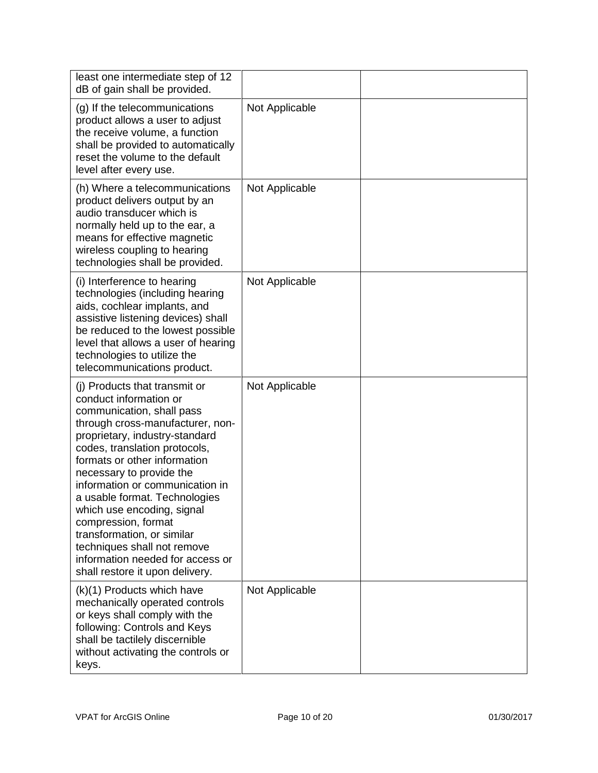| least one intermediate step of 12<br>dB of gain shall be provided.                                                                                                                                                                                                                                                                                                                                                                                                                                                   |                |  |
|----------------------------------------------------------------------------------------------------------------------------------------------------------------------------------------------------------------------------------------------------------------------------------------------------------------------------------------------------------------------------------------------------------------------------------------------------------------------------------------------------------------------|----------------|--|
| (g) If the telecommunications<br>product allows a user to adjust<br>the receive volume, a function<br>shall be provided to automatically<br>reset the volume to the default<br>level after every use.                                                                                                                                                                                                                                                                                                                | Not Applicable |  |
| (h) Where a telecommunications<br>product delivers output by an<br>audio transducer which is<br>normally held up to the ear, a<br>means for effective magnetic<br>wireless coupling to hearing<br>technologies shall be provided.                                                                                                                                                                                                                                                                                    | Not Applicable |  |
| (i) Interference to hearing<br>technologies (including hearing<br>aids, cochlear implants, and<br>assistive listening devices) shall<br>be reduced to the lowest possible<br>level that allows a user of hearing<br>technologies to utilize the<br>telecommunications product.                                                                                                                                                                                                                                       | Not Applicable |  |
| (i) Products that transmit or<br>conduct information or<br>communication, shall pass<br>through cross-manufacturer, non-<br>proprietary, industry-standard<br>codes, translation protocols,<br>formats or other information<br>necessary to provide the<br>information or communication in<br>a usable format. Technologies<br>which use encoding, signal<br>compression, format<br>transformation, or similar<br>techniques shall not remove<br>information needed for access or<br>shall restore it upon delivery. | Not Applicable |  |
| (k)(1) Products which have<br>mechanically operated controls<br>or keys shall comply with the<br>following: Controls and Keys<br>shall be tactilely discernible<br>without activating the controls or<br>keys.                                                                                                                                                                                                                                                                                                       | Not Applicable |  |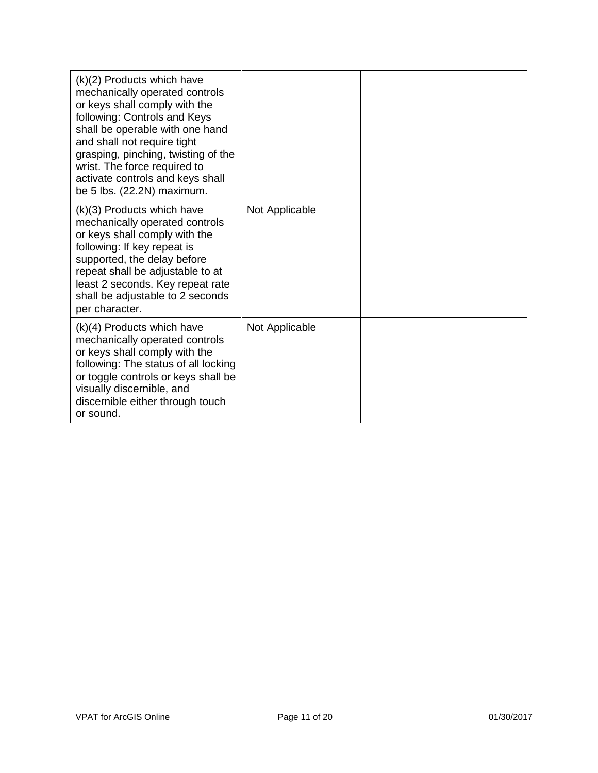| (k)(2) Products which have<br>mechanically operated controls<br>or keys shall comply with the<br>following: Controls and Keys<br>shall be operable with one hand<br>and shall not require tight<br>grasping, pinching, twisting of the<br>wrist. The force required to<br>activate controls and keys shall<br>be 5 lbs. (22.2N) maximum. |                |  |
|------------------------------------------------------------------------------------------------------------------------------------------------------------------------------------------------------------------------------------------------------------------------------------------------------------------------------------------|----------------|--|
| (k)(3) Products which have<br>mechanically operated controls<br>or keys shall comply with the<br>following: If key repeat is<br>supported, the delay before<br>repeat shall be adjustable to at<br>least 2 seconds. Key repeat rate<br>shall be adjustable to 2 seconds<br>per character.                                                | Not Applicable |  |
| $(k)(4)$ Products which have<br>mechanically operated controls<br>or keys shall comply with the<br>following: The status of all locking<br>or toggle controls or keys shall be<br>visually discernible, and<br>discernible either through touch<br>or sound.                                                                             | Not Applicable |  |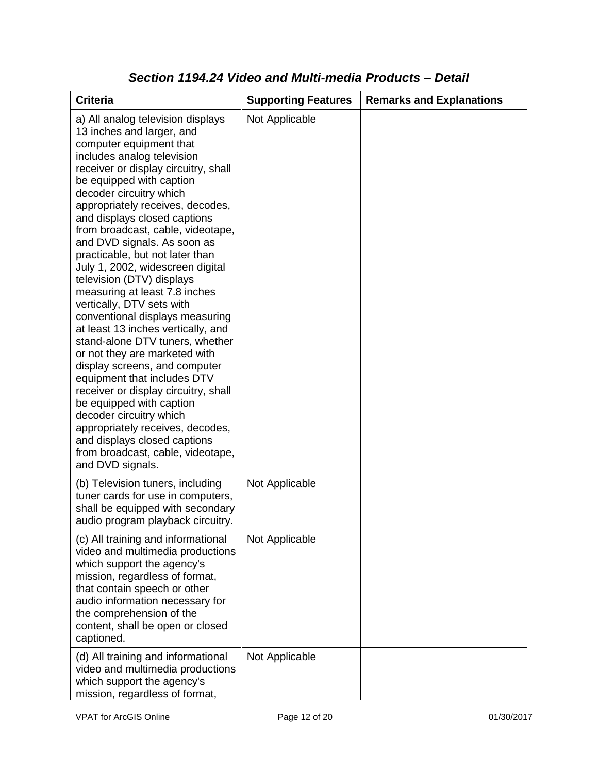| <b>Criteria</b>                                                                                                                                                                                                                                                                                                                                                                                                                                                                                                                                                                                                                                                                                                                                                                                                                                                                                                                                                           | <b>Supporting Features</b> | <b>Remarks and Explanations</b> |
|---------------------------------------------------------------------------------------------------------------------------------------------------------------------------------------------------------------------------------------------------------------------------------------------------------------------------------------------------------------------------------------------------------------------------------------------------------------------------------------------------------------------------------------------------------------------------------------------------------------------------------------------------------------------------------------------------------------------------------------------------------------------------------------------------------------------------------------------------------------------------------------------------------------------------------------------------------------------------|----------------------------|---------------------------------|
| a) All analog television displays<br>13 inches and larger, and<br>computer equipment that<br>includes analog television<br>receiver or display circuitry, shall<br>be equipped with caption<br>decoder circuitry which<br>appropriately receives, decodes,<br>and displays closed captions<br>from broadcast, cable, videotape,<br>and DVD signals. As soon as<br>practicable, but not later than<br>July 1, 2002, widescreen digital<br>television (DTV) displays<br>measuring at least 7.8 inches<br>vertically, DTV sets with<br>conventional displays measuring<br>at least 13 inches vertically, and<br>stand-alone DTV tuners, whether<br>or not they are marketed with<br>display screens, and computer<br>equipment that includes DTV<br>receiver or display circuitry, shall<br>be equipped with caption<br>decoder circuitry which<br>appropriately receives, decodes,<br>and displays closed captions<br>from broadcast, cable, videotape,<br>and DVD signals. | Not Applicable             |                                 |
| (b) Television tuners, including<br>tuner cards for use in computers,<br>shall be equipped with secondary<br>audio program playback circuitry.                                                                                                                                                                                                                                                                                                                                                                                                                                                                                                                                                                                                                                                                                                                                                                                                                            | Not Applicable             |                                 |
| (c) All training and informational<br>video and multimedia productions<br>which support the agency's<br>mission, regardless of format,<br>that contain speech or other<br>audio information necessary for<br>the comprehension of the<br>content, shall be open or closed<br>captioned.                                                                                                                                                                                                                                                                                                                                                                                                                                                                                                                                                                                                                                                                                   | Not Applicable             |                                 |
| (d) All training and informational<br>video and multimedia productions<br>which support the agency's<br>mission, regardless of format,                                                                                                                                                                                                                                                                                                                                                                                                                                                                                                                                                                                                                                                                                                                                                                                                                                    | Not Applicable             |                                 |

#### *Section 1194.24 Video and Multi-media Products – Detail*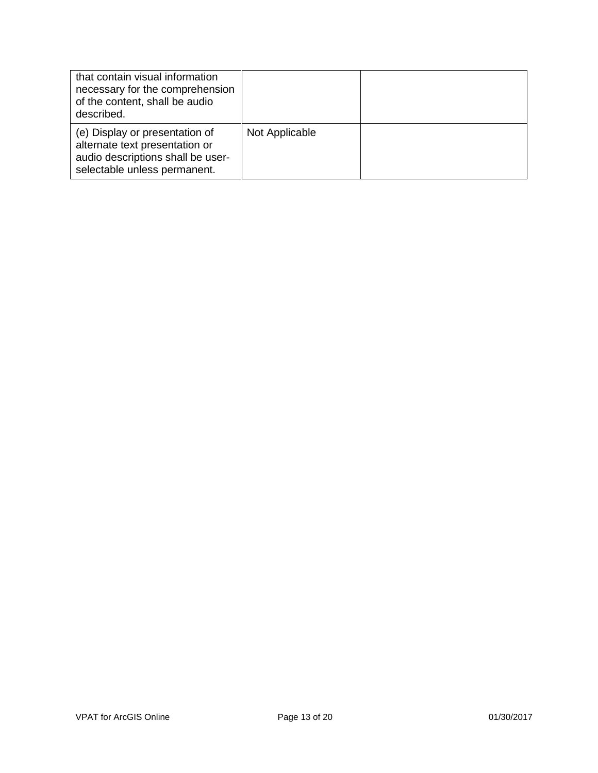| that contain visual information<br>necessary for the comprehension<br>of the content, shall be audio<br>described.                    |                |  |
|---------------------------------------------------------------------------------------------------------------------------------------|----------------|--|
| (e) Display or presentation of<br>alternate text presentation or<br>audio descriptions shall be user-<br>selectable unless permanent. | Not Applicable |  |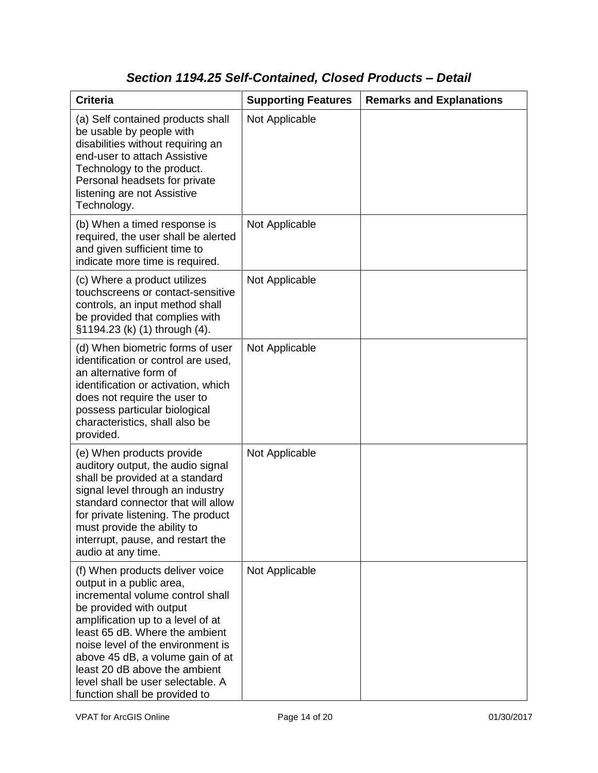# *Section 1194.25 Self-Contained, Closed Products – Detail*

| <b>Criteria</b>                                                                                                                                                                                                                                                                                                                                                                   | <b>Supporting Features</b> | <b>Remarks and Explanations</b> |
|-----------------------------------------------------------------------------------------------------------------------------------------------------------------------------------------------------------------------------------------------------------------------------------------------------------------------------------------------------------------------------------|----------------------------|---------------------------------|
| (a) Self contained products shall<br>be usable by people with<br>disabilities without requiring an<br>end-user to attach Assistive<br>Technology to the product.<br>Personal headsets for private<br>listening are not Assistive<br>Technology.                                                                                                                                   | Not Applicable             |                                 |
| (b) When a timed response is<br>required, the user shall be alerted<br>and given sufficient time to<br>indicate more time is required.                                                                                                                                                                                                                                            | Not Applicable             |                                 |
| (c) Where a product utilizes<br>touchscreens or contact-sensitive<br>controls, an input method shall<br>be provided that complies with<br>§1194.23 (k) (1) through (4).                                                                                                                                                                                                           | Not Applicable             |                                 |
| (d) When biometric forms of user<br>identification or control are used,<br>an alternative form of<br>identification or activation, which<br>does not require the user to<br>possess particular biological<br>characteristics, shall also be<br>provided.                                                                                                                          | Not Applicable             |                                 |
| (e) When products provide<br>auditory output, the audio signal<br>shall be provided at a standard<br>signal level through an industry<br>standard connector that will allow<br>for private listening. The product<br>must provide the ability to<br>interrupt, pause, and restart the<br>audio at any time.                                                                       | Not Applicable             |                                 |
| (f) When products deliver voice<br>output in a public area,<br>incremental volume control shall<br>be provided with output<br>amplification up to a level of at<br>least 65 dB. Where the ambient<br>noise level of the environment is<br>above 45 dB, a volume gain of at<br>least 20 dB above the ambient<br>level shall be user selectable. A<br>function shall be provided to | Not Applicable             |                                 |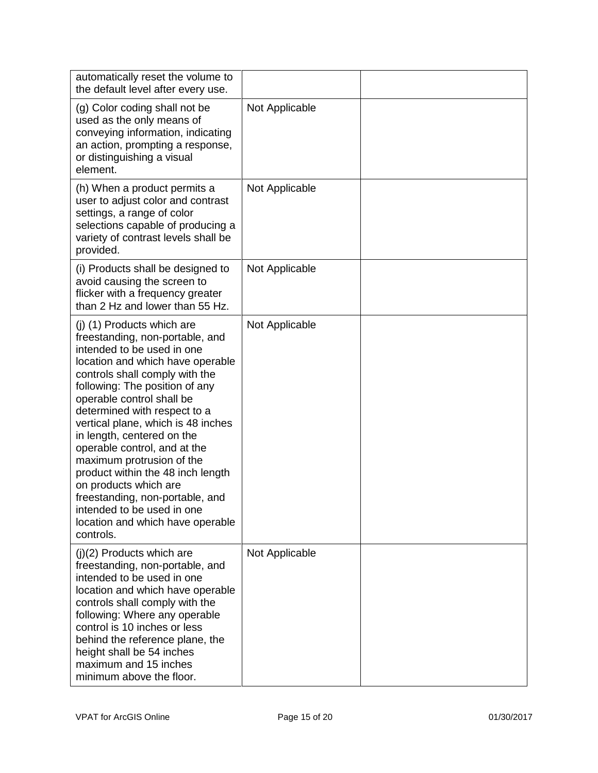| automatically reset the volume to<br>the default level after every use.                                                                                                                                                                                                                                                                                                                                                                                                                                                                                                           |                |  |
|-----------------------------------------------------------------------------------------------------------------------------------------------------------------------------------------------------------------------------------------------------------------------------------------------------------------------------------------------------------------------------------------------------------------------------------------------------------------------------------------------------------------------------------------------------------------------------------|----------------|--|
| (g) Color coding shall not be<br>used as the only means of<br>conveying information, indicating<br>an action, prompting a response,<br>or distinguishing a visual<br>element.                                                                                                                                                                                                                                                                                                                                                                                                     | Not Applicable |  |
| (h) When a product permits a<br>user to adjust color and contrast<br>settings, a range of color<br>selections capable of producing a<br>variety of contrast levels shall be<br>provided.                                                                                                                                                                                                                                                                                                                                                                                          | Not Applicable |  |
| (i) Products shall be designed to<br>avoid causing the screen to<br>flicker with a frequency greater<br>than 2 Hz and lower than 55 Hz.                                                                                                                                                                                                                                                                                                                                                                                                                                           | Not Applicable |  |
| (j) (1) Products which are<br>freestanding, non-portable, and<br>intended to be used in one<br>location and which have operable<br>controls shall comply with the<br>following: The position of any<br>operable control shall be<br>determined with respect to a<br>vertical plane, which is 48 inches<br>in length, centered on the<br>operable control, and at the<br>maximum protrusion of the<br>product within the 48 inch length<br>on products which are<br>freestanding, non-portable, and<br>intended to be used in one<br>location and which have operable<br>controls. | Not Applicable |  |
| $(j)(2)$ Products which are<br>freestanding, non-portable, and<br>intended to be used in one<br>location and which have operable<br>controls shall comply with the<br>following: Where any operable<br>control is 10 inches or less<br>behind the reference plane, the<br>height shall be 54 inches<br>maximum and 15 inches<br>minimum above the floor.                                                                                                                                                                                                                          | Not Applicable |  |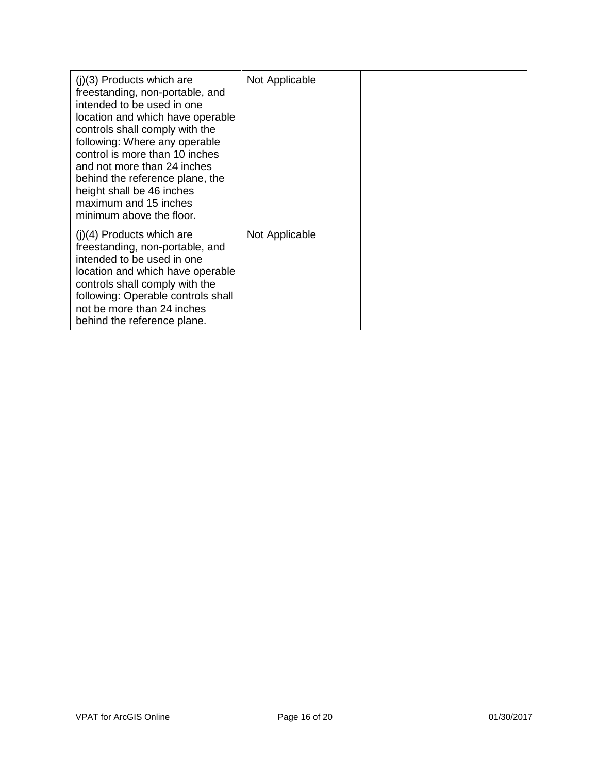| $(i)(3)$ Products which are<br>freestanding, non-portable, and<br>intended to be used in one<br>location and which have operable<br>controls shall comply with the<br>following: Where any operable<br>control is more than 10 inches<br>and not more than 24 inches<br>behind the reference plane, the<br>height shall be 46 inches<br>maximum and 15 inches<br>minimum above the floor. | Not Applicable |  |
|-------------------------------------------------------------------------------------------------------------------------------------------------------------------------------------------------------------------------------------------------------------------------------------------------------------------------------------------------------------------------------------------|----------------|--|
| $(i)(4)$ Products which are<br>freestanding, non-portable, and<br>intended to be used in one<br>location and which have operable<br>controls shall comply with the<br>following: Operable controls shall<br>not be more than 24 inches<br>behind the reference plane.                                                                                                                     | Not Applicable |  |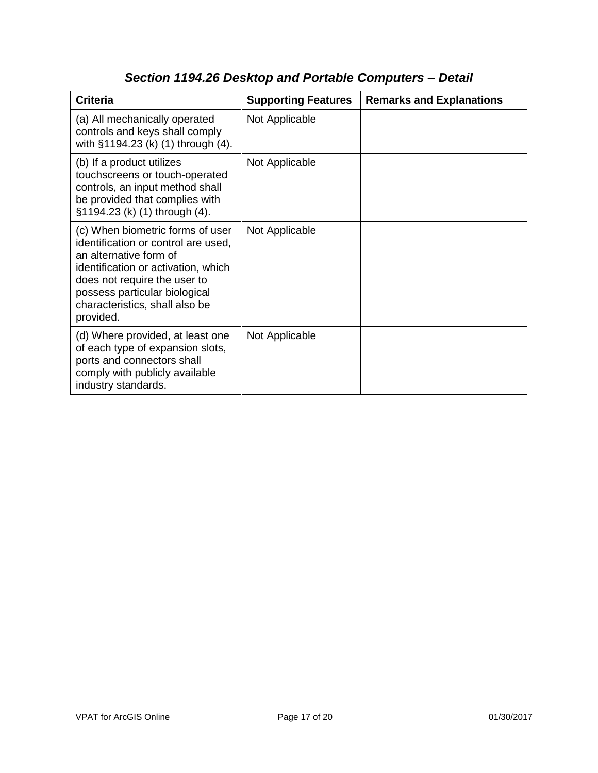| <b>Criteria</b>                                                                                                                                                                                                                                          | <b>Supporting Features</b> | <b>Remarks and Explanations</b> |
|----------------------------------------------------------------------------------------------------------------------------------------------------------------------------------------------------------------------------------------------------------|----------------------------|---------------------------------|
| (a) All mechanically operated<br>controls and keys shall comply<br>with §1194.23 (k) (1) through (4).                                                                                                                                                    | Not Applicable             |                                 |
| (b) If a product utilizes<br>touchscreens or touch-operated<br>controls, an input method shall<br>be provided that complies with<br>§1194.23 (k) (1) through (4).                                                                                        | Not Applicable             |                                 |
| (c) When biometric forms of user<br>identification or control are used,<br>an alternative form of<br>identification or activation, which<br>does not require the user to<br>possess particular biological<br>characteristics, shall also be<br>provided. | Not Applicable             |                                 |
| (d) Where provided, at least one<br>of each type of expansion slots,<br>ports and connectors shall<br>comply with publicly available<br>industry standards.                                                                                              | Not Applicable             |                                 |

## *Section 1194.26 Desktop and Portable Computers – Detail*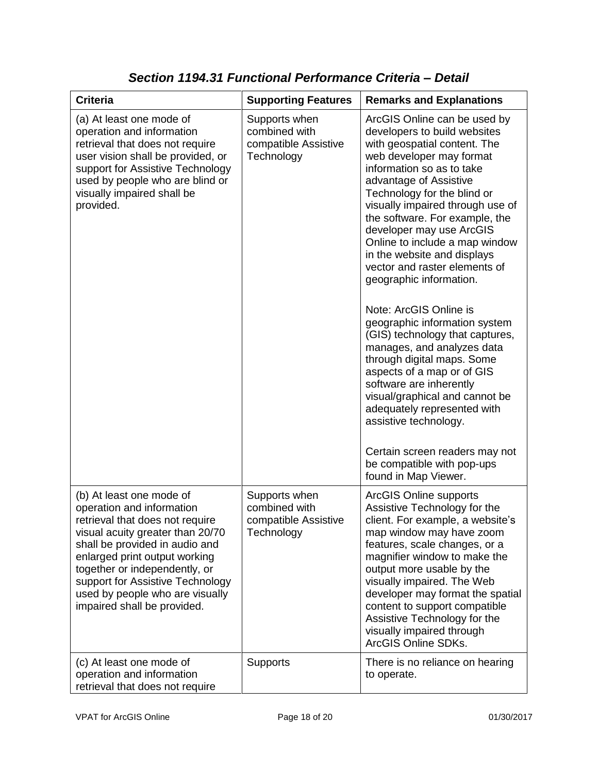| <b>Criteria</b>                                                                                                                                                                                                                                                                                                                        | <b>Supporting Features</b>                                           | <b>Remarks and Explanations</b>                                                                                                                                                                                                                                                                                                                                                                                                                                                                                                                                                                                                                                                                                                                                                                                                                    |
|----------------------------------------------------------------------------------------------------------------------------------------------------------------------------------------------------------------------------------------------------------------------------------------------------------------------------------------|----------------------------------------------------------------------|----------------------------------------------------------------------------------------------------------------------------------------------------------------------------------------------------------------------------------------------------------------------------------------------------------------------------------------------------------------------------------------------------------------------------------------------------------------------------------------------------------------------------------------------------------------------------------------------------------------------------------------------------------------------------------------------------------------------------------------------------------------------------------------------------------------------------------------------------|
| (a) At least one mode of<br>operation and information<br>retrieval that does not require<br>user vision shall be provided, or<br>support for Assistive Technology<br>used by people who are blind or<br>visually impaired shall be<br>provided.                                                                                        | Supports when<br>combined with<br>compatible Assistive<br>Technology | ArcGIS Online can be used by<br>developers to build websites<br>with geospatial content. The<br>web developer may format<br>information so as to take<br>advantage of Assistive<br>Technology for the blind or<br>visually impaired through use of<br>the software. For example, the<br>developer may use ArcGIS<br>Online to include a map window<br>in the website and displays<br>vector and raster elements of<br>geographic information.<br>Note: ArcGIS Online is<br>geographic information system<br>(GIS) technology that captures,<br>manages, and analyzes data<br>through digital maps. Some<br>aspects of a map or of GIS<br>software are inherently<br>visual/graphical and cannot be<br>adequately represented with<br>assistive technology.<br>Certain screen readers may not<br>be compatible with pop-ups<br>found in Map Viewer. |
| (b) At least one mode of<br>operation and information<br>retrieval that does not require<br>visual acuity greater than 20/70<br>shall be provided in audio and<br>enlarged print output working<br>together or independently, or<br>support for Assistive Technology<br>used by people who are visually<br>impaired shall be provided. | Supports when<br>combined with<br>compatible Assistive<br>Technology | <b>ArcGIS Online supports</b><br>Assistive Technology for the<br>client. For example, a website's<br>map window may have zoom<br>features, scale changes, or a<br>magnifier window to make the<br>output more usable by the<br>visually impaired. The Web<br>developer may format the spatial<br>content to support compatible<br>Assistive Technology for the<br>visually impaired through<br>ArcGIS Online SDKs.                                                                                                                                                                                                                                                                                                                                                                                                                                 |
| (c) At least one mode of<br>operation and information<br>retrieval that does not require                                                                                                                                                                                                                                               | Supports                                                             | There is no reliance on hearing<br>to operate.                                                                                                                                                                                                                                                                                                                                                                                                                                                                                                                                                                                                                                                                                                                                                                                                     |

*Section 1194.31 Functional Performance Criteria – Detail*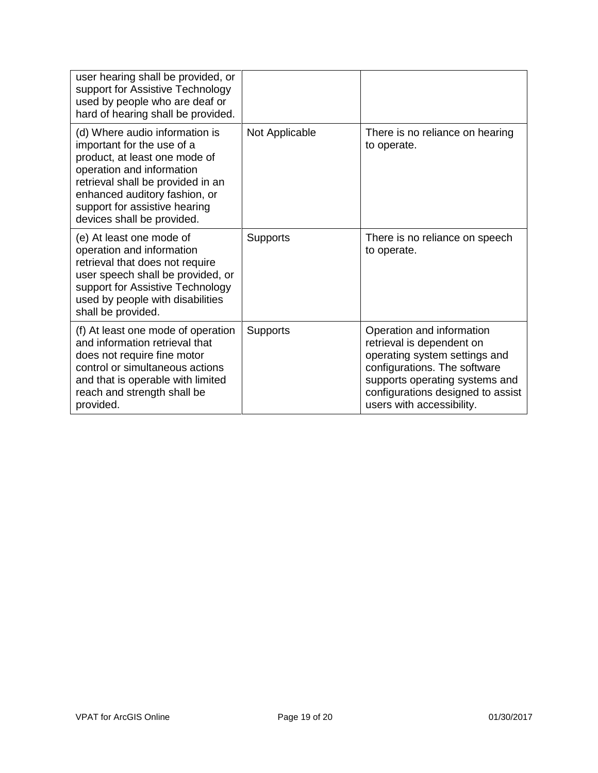| user hearing shall be provided, or<br>support for Assistive Technology<br>used by people who are deaf or<br>hard of hearing shall be provided.                                                                                                                  |                 |                                                                                                                                                                                                                             |
|-----------------------------------------------------------------------------------------------------------------------------------------------------------------------------------------------------------------------------------------------------------------|-----------------|-----------------------------------------------------------------------------------------------------------------------------------------------------------------------------------------------------------------------------|
| (d) Where audio information is<br>important for the use of a<br>product, at least one mode of<br>operation and information<br>retrieval shall be provided in an<br>enhanced auditory fashion, or<br>support for assistive hearing<br>devices shall be provided. | Not Applicable  | There is no reliance on hearing<br>to operate.                                                                                                                                                                              |
| (e) At least one mode of<br>operation and information<br>retrieval that does not require<br>user speech shall be provided, or<br>support for Assistive Technology<br>used by people with disabilities<br>shall be provided.                                     | <b>Supports</b> | There is no reliance on speech<br>to operate.                                                                                                                                                                               |
| (f) At least one mode of operation<br>and information retrieval that<br>does not require fine motor<br>control or simultaneous actions<br>and that is operable with limited<br>reach and strength shall be<br>provided.                                         | <b>Supports</b> | Operation and information<br>retrieval is dependent on<br>operating system settings and<br>configurations. The software<br>supports operating systems and<br>configurations designed to assist<br>users with accessibility. |